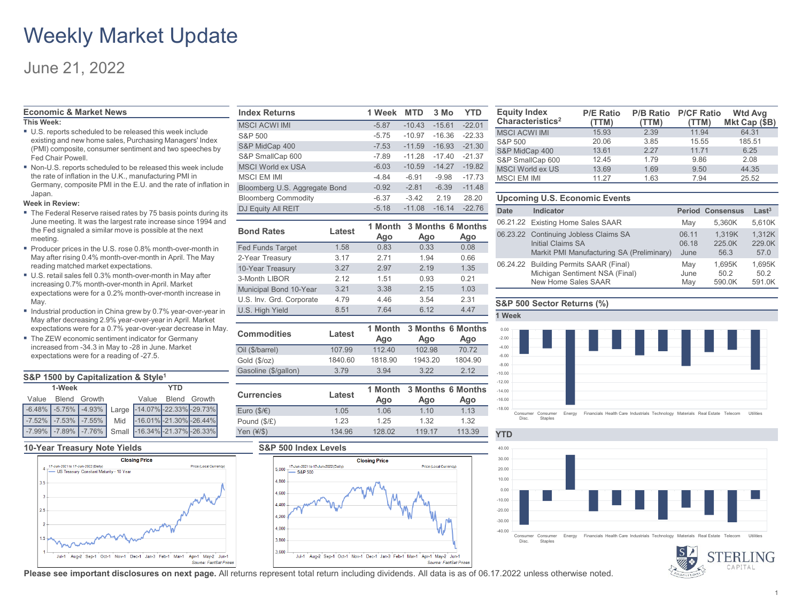## Weekly Market Update

## June 21, 2022

### **Economic & Market News**

### **This Week:**

- U.S. reports scheduled to be released this week include existing and new home sales, Purchasing Managers' Index (PMI) composite, consumer sentiment and two speeches by Fed Chair Powell.
- Non-U.S. reports scheduled to be released this week include the rate of inflation in the U.K., manufacturing PMI in Germany, composite PMI in the E.U. and the rate of inflation i Japan.

### **Week in Review:**

- The Federal Reserve raised rates by 75 basis points during its June meeting. It was the largest rate increase since 1994 and the Fed signaled a similar move is possible at the next meeting.
- Producer prices in the U.S. rose 0.8% month-over-month in May after rising 0.4% month-over-month in April. The May reading matched market expectations.
- U.S. retail sales fell 0.3% month-over-month in May after increasing 0.7% month-over-month in April. Market expectations were for a 0.2% month-over-month increase in May.
- Industrial production in China grew by 0.7% year-over-year in May after decreasing 2.9% year-over-year in April. Market expectations were for a 0.7% year-over-year decrease in May.
- The ZEW economic sentiment indicator for Germany increased from -34.3 in May to -28 in June. Market expectations were for a reading of -27.5.

| S&P 1500 by Capitalization & Style <sup>1</sup> |                    |                                                  |  |                    |  |                                                            |
|-------------------------------------------------|--------------------|--------------------------------------------------|--|--------------------|--|------------------------------------------------------------|
| 1-Week<br>YTD                                   |                    |                                                  |  |                    |  |                                                            |
|                                                 | Value Blend Growth |                                                  |  | Value Blend Growth |  |                                                            |
|                                                 |                    |                                                  |  |                    |  | $\vert$ -6.48% -5.75% -4.93% Large -14.07% -22.33% -29.73% |
|                                                 |                    | $\vert$ -7.52% $\vert$ -7.53% $\vert$ -7.55% Mid |  |                    |  | $-16.01\%$ -21.30% -26.44%                                 |
|                                                 |                    |                                                  |  |                    |  | -7.99% -7.89% -7.76% Small -16.34% -21.37% -26.33%         |

### **10-Year Treasury Note Yields S&P 500 Index Levels**



| <b>Index Returns</b>          | 1 Week  | <b>MTD</b> | 3 Mo     | YTD      |
|-------------------------------|---------|------------|----------|----------|
| <b>MSCI ACWI IMI</b>          | $-5.87$ | $-10.43$   | $-15.61$ | $-22.01$ |
| S&P 500                       | $-5.75$ | $-10.97$   | $-16.36$ | $-22.33$ |
| S&P MidCap 400                | $-7.53$ | $-11.59$   | $-16.93$ | $-21.30$ |
| S&P SmallCap 600              | $-7.89$ | $-11.28$   | $-17.40$ | $-21.37$ |
| <b>MSCI World ex USA</b>      | $-6.03$ | $-10.59$   | $-14.27$ | $-19.82$ |
| <b>MSCI EM IMI</b>            | $-4.84$ | $-6.91$    | $-9.98$  | $-17.73$ |
| Bloomberg U.S. Aggregate Bond | $-0.92$ | $-2.81$    | $-6.39$  | $-11.48$ |
| <b>Bloomberg Commodity</b>    | $-6.37$ | $-3.42$    | 2.19     | 28.20    |
| DJ Equity All REIT            | $-5.18$ | $-11.08$   | $-16.14$ | $-22.76$ |

| <b>Bond Rates</b>        | Latest | Ago  | 1 Month 3 Months 6 Months<br>Ago | Ago  |
|--------------------------|--------|------|----------------------------------|------|
| <b>Fed Funds Target</b>  | 1.58   | 0.83 | 0.33                             | 0.08 |
| 2-Year Treasury          | 3.17   | 2.71 | 1.94                             | 0.66 |
| 10-Year Treasury         | 3.27   | 2.97 | 2.19                             | 1.35 |
| 3-Month LIBOR            | 2.12   | 1.51 | 0.93                             | 0.21 |
| Municipal Bond 10-Year   | 3.21   | 3.38 | 2.15                             | 1.03 |
| U.S. Inv. Grd. Corporate | 4.79   | 4.46 | 3.54                             | 2.31 |
| U.S. High Yield          | 8.51   | 7.64 | 6.12                             | 4.47 |

| <b>Commodities</b>   | Latest  | 1 Month            |                          | <b>3 Months 6 Months</b> |  |
|----------------------|---------|--------------------|--------------------------|--------------------------|--|
|                      |         | Ago                | Ago                      | Ago                      |  |
| Oil (\$/barrel)      | 107.99  | 112.40             | 102.98                   | 70.72                    |  |
| Gold (\$/oz)         | 1840.60 | 1818.90<br>1943.20 |                          | 1804.90                  |  |
| Gasoline (\$/gallon) | 3.79    | 3.94               | 3.22                     | 2.12                     |  |
|                      |         |                    |                          |                          |  |
|                      |         |                    |                          |                          |  |
|                      |         | 1 Month            | <b>3 Months 6 Months</b> |                          |  |
| <b>Currencies</b>    | Latest  | Ago                | Ago                      | Ago                      |  |
| Euro $($/€)$         | 1.05    | 1.06               | 1.10                     | 1.13                     |  |
| Pound (\$/£)         | 1.23    | 1.25               | 1.32                     | 1.32                     |  |



| <b>Equity Index</b><br>Characteristics <sup>2</sup> | <b>P/E Ratio</b><br>(TTM) | <b>P/B Ratio</b><br>(TTM) | <b>P/CF Ratio</b><br>(TTM) | <b>Wtd Avg</b><br>Mkt Cap (\$B) |
|-----------------------------------------------------|---------------------------|---------------------------|----------------------------|---------------------------------|
| <b>MSCI ACWI IMI</b>                                | 15.93                     | 2.39                      | 11.94                      | 64.31                           |
| S&P 500                                             | 20.06                     | 3.85                      | 15.55                      | 185.51                          |
| S&P MidCap 400                                      | 13.61                     | 227                       | 11.71                      | 6.25                            |
| S&P SmallCap 600                                    | 12.45                     | 1.79                      | 9.86                       | 2.08                            |
| <b>MSCI World ex US</b>                             | 13.69                     | 1.69                      | 9.50                       | 44.35                           |
| <b>MSCI EM IMI</b>                                  | 11.27                     | 1.63                      | 7.94                       | 25.52                           |

### **Upcoming U.S. Economic Events**

| <b>Date</b> | Indicator                                 |       | <b>Period Consensus</b> | Last <sup>3</sup> |
|-------------|-------------------------------------------|-------|-------------------------|-------------------|
|             | 06.21.22 Existing Home Sales SAAR         | May   | 5.360K                  | 5,610K            |
|             | 06.23.22 Continuing Jobless Claims SA     | 06.11 | 1.319K                  | 1.312K            |
|             | Initial Claims SA                         | 06.18 | 225.0K                  | 229.0K            |
|             | Markit PMI Manufacturing SA (Preliminary) | June  | 56.3                    | 57.0              |
|             | 06.24.22 Building Permits SAAR (Final)    | May   | 1.695K                  | 1.695K            |
|             | Michigan Sentiment NSA (Final)            | June  | 50.2                    | 50.2              |
|             | New Home Sales SAAR                       | May   | 590.0K                  | 591.0K            |

### **S&P 500 Sector Returns (%)**







**Please see important disclosures on next page.** All returns represent total return including dividends. All data is as of 06.17.2022 unless otherwise noted.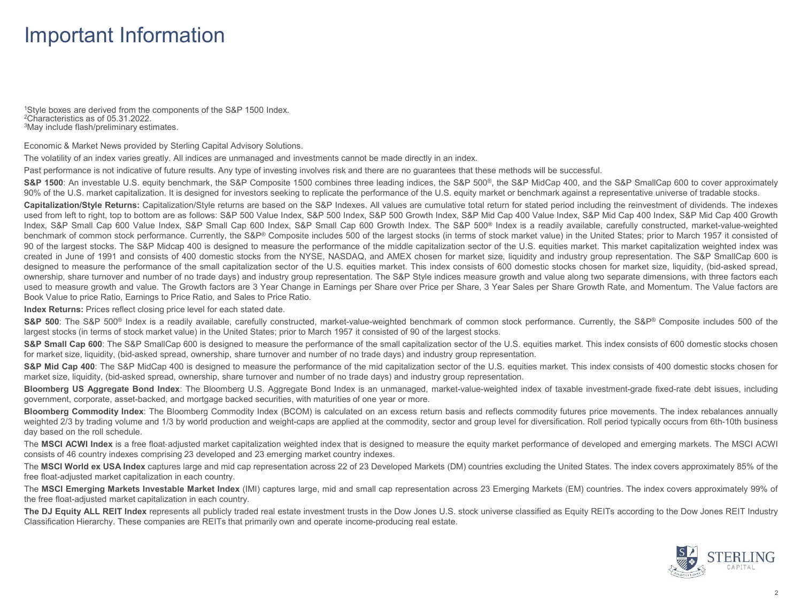## Important Information

1Style boxes are derived from the components of the S&P 1500 Index.<br><sup>2</sup>Characteristics as of 05.31.2022.<br><sup>3</sup>May include flash/preliminary estimates.

Economic & Market News provided by Sterling Capital Advisory Solutions.

The volatility of an index varies greatly. All indices are unmanaged and investments cannot be made directly in an index.

Past performance is not indicative of future results. Any type of investing involves risk and there are no guarantees that these methods will be successful.

S&P 1500: An investable U.S. equity benchmark, the S&P Composite 1500 combines three leading indices, the S&P 500<sup>®</sup>, the S&P MidCap 400, and the S&P SmallCap 600 to cover approximately 90% of the U.S. market capitalization. It is designed for investors seeking to replicate the performance of the U.S. equity market or benchmark against a representative universe of tradable stocks.

**Capitalization/Style Returns:** Capitalization/Style returns are based on the S&P Indexes. All values are cumulative total return for stated period including the reinvestment of dividends. The indexes used from left to right, top to bottom are as follows: S&P 500 Value Index, S&P 500 Index, S&P S00 Growth Index, S&P Mid Cap 400 Value Index, S&P Mid Cap 400 Index, S&P Mid Cap 400 Growth Index, S&P Small Cap 600 Value Index, S&P Small Cap 600 Index, S&P Small Cap 600 Growth Index. The S&P 500® Index is a readily available, carefully constructed, market-value-weighted benchmark of common stock performance. Currently, the S&P® Composite includes 500 of the largest stocks (in terms of stock market value) in the United States; prior to March 1957 it consisted of 90 of the largest stocks. The S&P Midcap 400 is designed to measure the performance of the middle capitalization sector of the U.S. equities market. This market capitalization weighted index was created in June of 1991 and consists of 400 domestic stocks from the NYSE, NASDAQ, and AMEX chosen for market size, liquidity and industry group representation. The S&P SmallCap 600 is designed to measure the performance of the small capitalization sector of the U.S. equities market. This index consists of 600 domestic stocks chosen for market size, liquidity, (bid-asked spread, ownership, share turnover and number of no trade days) and industry group representation. The S&P Style indices measure growth and value along two separate dimensions, with three factors each used to measure growth and value. The Growth factors are 3 Year Change in Earnings per Share over Price per Share, 3 Year Sales per Share Growth Rate, and Momentum. The Value factors are Book Value to price Ratio, Earnings to Price Ratio, and Sales to Price Ratio.

**Index Returns:** Prices reflect closing price level for each stated date.

S&P 500: The S&P 500<sup>®</sup> Index is a readily available, carefully constructed, market-value-weighted benchmark of common stock performance. Currently, the S&P® Composite includes 500 of the largest stocks (in terms of stock market value) in the United States; prior to March 1957 it consisted of 90 of the largest stocks.

S&P Small Cap 600: The S&P SmallCap 600 is designed to measure the performance of the small capitalization sector of the U.S. equities market. This index consists of 600 domestic stocks chosen for market size, liquidity, (bid-asked spread, ownership, share turnover and number of no trade days) and industry group representation.

S&P Mid Cap 400: The S&P MidCap 400 is designed to measure the performance of the mid capitalization sector of the U.S. equities market. This index consists of 400 domestic stocks chosen for market size, liquidity, (bid-asked spread, ownership, share turnover and number of no trade days) and industry group representation.

**Bloomberg US Aggregate Bond Index**: The Bloomberg U.S. Aggregate Bond Index is an unmanaged, market-value-weighted index of taxable investment-grade fixed-rate debt issues, including government, corporate, asset-backed, and mortgage backed securities, with maturities of one year or more.

**Bloomberg Commodity Index**: The Bloomberg Commodity Index (BCOM) is calculated on an excess return basis and reflects commodity futures price movements. The index rebalances annually weighted 2/3 by trading volume and 1/3 by world production and weight-caps are applied at the commodity, sector and group level for diversification. Roll period typically occurs from 6th-10th business day based on the roll schedule.

The MSCI ACWI Index is a free float-adjusted market capitalization weighted index that is designed to measure the equity market performance of developed and emerging markets. The MSCI ACWI consists of 46 country indexes comprising 23 developed and 23 emerging market country indexes.

The **MSCI World ex USA Index** captures large and mid cap representation across 22 of 23 Developed Markets (DM) countries excluding the United States. The index covers approximately 85% of the free float-adjusted market capitalization in each country.

The MSCI Emerging Markets Investable Market Index (IMI) captures large, mid and small cap representation across 23 Emerging Markets (EM) countries. The index covers approximately 99% of the free float-adjusted market capitalization in each country.

The DJ Equity ALL REIT Index represents all publicly traded real estate investment trusts in the Dow Jones U.S. stock universe classified as Equity REITs according to the Dow Jones REIT Industry Classification Hierarchy. These companies are REITs that primarily own and operate income-producing real estate.